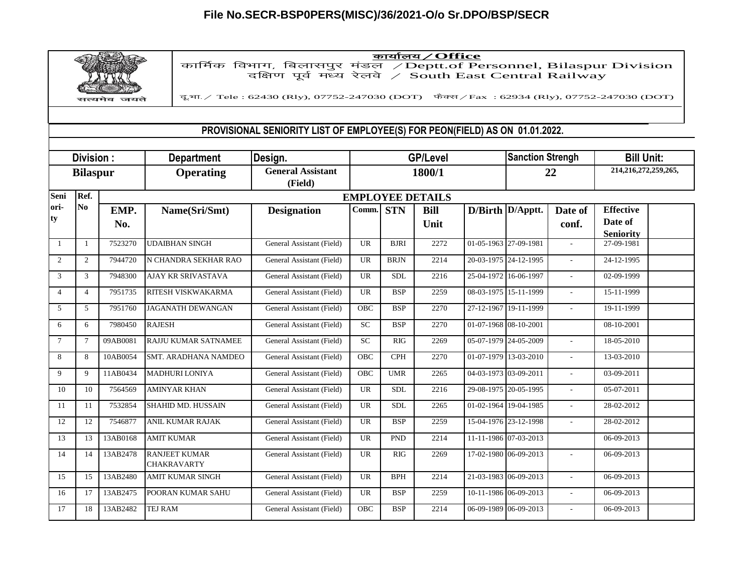## **File No.SECR-BSP0PERS(MISC)/36/2021-O/o Sr.DPO/BSP/SECR**



dk;kZy;@**Office** dkfeZd foHkkx] fcykliqj eaMy @Deptt.of Personnel, Bilaspur Division nf{k.k iwo Z e/; j syos @ South East Central Railway

दू.भा. / Tele : 62430 (Rly), 07752-247030 (DOT) फेक्स / Fax : 62934 (Rly), 07752-247030 (DOT)

## **PROVISIONAL SENIORITY LIST OF EMPLOYEE(S) FOR PEON(FIELD) AS ON 01.01.2022.**

| Division:<br><b>Bilaspur</b> |                 |             | <b>Department</b>                          | Design.                             | <b>GP/Level</b> |             |                     |                       | <b>Sanction Strengh</b> |                          | <b>Bill Unit:</b>                               |  |
|------------------------------|-----------------|-------------|--------------------------------------------|-------------------------------------|-----------------|-------------|---------------------|-----------------------|-------------------------|--------------------------|-------------------------------------------------|--|
|                              |                 |             | <b>Operating</b>                           | <b>General Assistant</b><br>(Field) |                 |             | 1800/1              |                       | 22                      |                          | 214,216,272,259,265,                            |  |
| Seni                         | Ref.            |             | <b>EMPLOYEE DETAILS</b>                    |                                     |                 |             |                     |                       |                         |                          |                                                 |  |
| lori-<br>ty                  | N <sub>0</sub>  | EMP.<br>No. | Name(Sri/Smt)                              | <b>Designation</b>                  | Comm.           | <b>STN</b>  | <b>Bill</b><br>Unit |                       | D/Birth D/Apptt.        | Date of<br>conf.         | <b>Effective</b><br>Date of<br><b>Seniority</b> |  |
| -1                           | $\overline{1}$  | 7523270     | <b>UDAIBHAN SINGH</b>                      | General Assistant (Field)           | <b>UR</b>       | <b>BJRI</b> | 2272                | 01-05-1963 27-09-1981 |                         | $\overline{\phantom{a}}$ | 27-09-1981                                      |  |
| 2                            | 2               | 7944720     | N CHANDRA SEKHAR RAO                       | General Assistant (Field)           | UR              | <b>BRJN</b> | 2214                |                       | 20-03-1975 24-12-1995   | $\overline{a}$           | 24-12-1995                                      |  |
| 3                            | 3               | 7948300     | <b>AJAY KR SRIVASTAVA</b>                  | General Assistant (Field)           | <b>UR</b>       | <b>SDL</b>  | 2216                | 25-04-1972 16-06-1997 |                         | $\overline{\phantom{a}}$ | 02-09-1999                                      |  |
| $\overline{4}$               | $\overline{4}$  | 7951735     | RITESH VISKWAKARMA                         | General Assistant (Field)           | UR              | <b>BSP</b>  | 2259                | 08-03-1975 15-11-1999 |                         |                          | 15-11-1999                                      |  |
| 5                            | 5               | 7951760     | <b>JAGANATH DEWANGAN</b>                   | General Assistant (Field)           | <b>OBC</b>      | <b>BSP</b>  | 2270                |                       | 27-12-1967 19-11-1999   | $\sim$                   | 19-11-1999                                      |  |
| 6                            | 6               | 7980450     | <b>RAJESH</b>                              | General Assistant (Field)           | <b>SC</b>       | <b>BSP</b>  | 2270                | 01-07-1968 08-10-2001 |                         |                          | 08-10-2001                                      |  |
| $\tau$                       | $7\phantom{.0}$ | 09AB0081    | <b>RAJJU KUMAR SATNAMEE</b>                | General Assistant (Field)           | <b>SC</b>       | RIG         | 2269                | 05-07-1979 24-05-2009 |                         | $\mathbf{r}$             | 18-05-2010                                      |  |
| 8                            | 8               | 10AB0054    | <b>SMT. ARADHANA NAMDEO</b>                | General Assistant (Field)           | <b>OBC</b>      | <b>CPH</b>  | 2270                |                       | 01-07-1979 13-03-2010   | $\sim$                   | 13-03-2010                                      |  |
| $\mathbf{Q}$                 | 9               | 11AB0434    | <b>MADHURI LONIYA</b>                      | General Assistant (Field)           | <b>OBC</b>      | <b>UMR</b>  | 2265                | 04-03-1973 03-09-2011 |                         | $\sim$                   | 03-09-2011                                      |  |
| 10                           | 10              | 7564569     | <b>AMINYAR KHAN</b>                        | General Assistant (Field)           | UR              | <b>SDL</b>  | 2216                | 29-08-1975 20-05-1995 |                         | $\sim$                   | 05-07-2011                                      |  |
| 11                           | 11              | 7532854     | <b>SHAHID MD. HUSSAIN</b>                  | General Assistant (Field)           | UR              | <b>SDL</b>  | 2265                | 01-02-1964 19-04-1985 |                         | $\mathbf{r}$             | 28-02-2012                                      |  |
| 12                           | 12              | 7546877     | ANIL KUMAR RAJAK                           | General Assistant (Field)           | <b>UR</b>       | <b>BSP</b>  | 2259                |                       | 15-04-1976 23-12-1998   | ÷.                       | 28-02-2012                                      |  |
| 13                           | 13              | 13AB0168    | <b>AMIT KUMAR</b>                          | General Assistant (Field)           | <b>UR</b>       | <b>PND</b>  | 2214                |                       | 11-11-1986 07-03-2013   |                          | 06-09-2013                                      |  |
| 14                           | 14              | 13AB2478    | <b>RANJEET KUMAR</b><br><b>CHAKRAVARTY</b> | General Assistant (Field)           | <b>UR</b>       | RIG         | 2269                |                       | 17-02-1980 06-09-2013   |                          | 06-09-2013                                      |  |
| 15                           | 15              | 13AB2480    | AMIT KUMAR SINGH                           | General Assistant (Field)           | <b>UR</b>       | <b>BPH</b>  | 2214                | 21-03-1983 06-09-2013 |                         | $\overline{\phantom{a}}$ | 06-09-2013                                      |  |
| 16                           | 17              | 13AB2475    | POORAN KUMAR SAHU                          | General Assistant (Field)           | <b>UR</b>       | <b>BSP</b>  | 2259                |                       | 10-11-1986 06-09-2013   | $\sim$                   | 06-09-2013                                      |  |
| 17                           | 18              | 13AB2482    | TEJ RAM                                    | General Assistant (Field)           | OBC             | <b>BSP</b>  | 2214                | 06-09-1989 06-09-2013 |                         | $\sim$                   | 06-09-2013                                      |  |